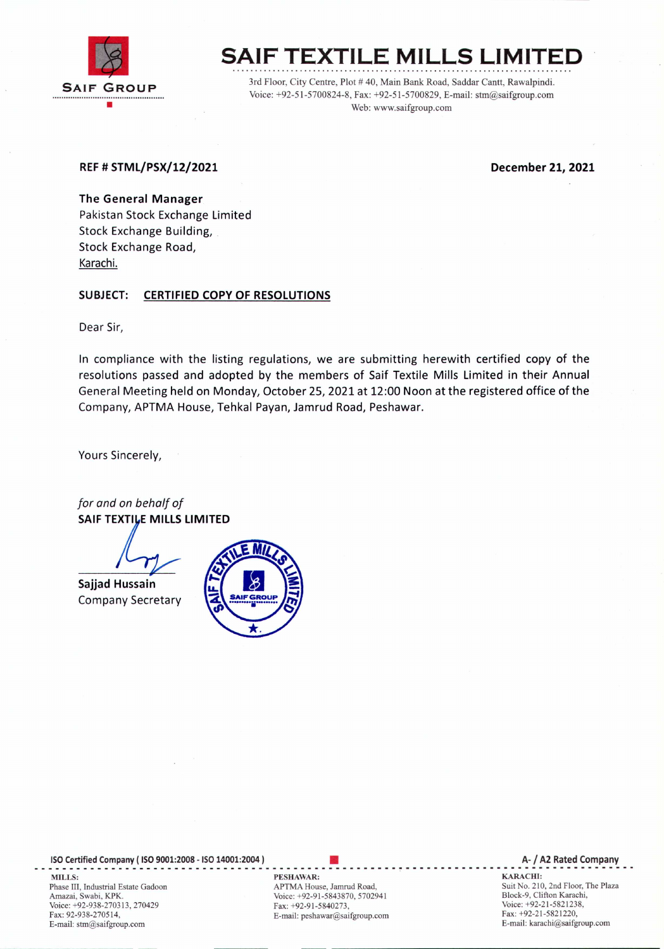

# **SAIF TEXTILE MILLS LIMITED**

3rd Floor, City Centre, Plot # 40, Main Bank Road, Saddar Cantt, Rawalpindi. Voice: +92-51-5700824-8, Fax: +92-51-5700829, E-mail: stm@saifgroup.com Web: www.saifgroup.com

## REF# STML/PSX/12/2021 December 21, 2021

The General Manager Pakistan Stock Exchange Limited Stock Exchange Building, . Stock Exchange Road, Karachi.

# SUBJECT: CERTIFIED COPY OF RESOLUTIONS

Dear Sir,

In compliance with the listing regulations, we are submitting herewith certified copy of the resolutions passed and adopted by the members of Saif Textile Mills Limited in their Annual General Meeting held on Monday, October 25, 2021 at 12:00 Noon at the registered office of the Company, APTMA House, Tehkal Payan, Jamrud Road, Peshawar.

Yours Sincerely,

*for and on behalf of* SAIF TEXTILE MILLS LIMITED

Sajjad Hussain Company Secretary



ISO Certified Company ( ISO 9001:2008 - ISO 14001:2004 ) ----------------------------------------- .. ----------~-**----------\_ ...... ----------------\_.** MILLS: PESHAWAR: KARACHI: Phase III, Industrial Estate Gadoon Amazai, Swabi, KPK. Voice: +92-938-270313,270429 Fax: 92-938-270514, E-mail: stm@saifgroup.com

• APTMA House, Jamrud Road, Voice: +92-91-5843870, 5702941 Fax: +92-91-5840273, E-mail: peshawar@saifgroup.com

A- / A2 Rated Company

Suit No. 210, 2nd Floor, The Plaza Block-9, Clifton Karachi, Voice: +92-21-5821238, Fax: +92-21-5821220, E-mail: karachi@saifgroup.com